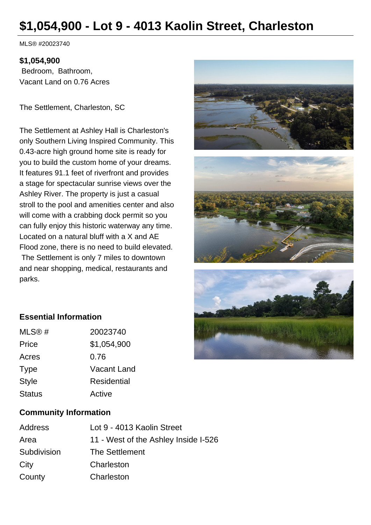# **\$1,054,900 - Lot 9 - 4013 Kaolin Street, Charleston**

MLS® #20023740

#### **\$1,054,900**

 Bedroom, Bathroom, Vacant Land on 0.76 Acres

The Settlement, Charleston, SC

The Settlement at Ashley Hall is Charleston's only Southern Living Inspired Community. This 0.43-acre high ground home site is ready for you to build the custom home of your dreams. It features 91.1 feet of riverfront and provides a stage for spectacular sunrise views over the Ashley River. The property is just a casual stroll to the pool and amenities center and also will come with a crabbing dock permit so you can fully enjoy this historic waterway any time. Located on a natural bluff with a X and AE Flood zone, there is no need to build elevated. The Settlement is only 7 miles to downtown and near shopping, medical, restaurants and parks.





# **Essential Information**

| MLS@#         | 20023740           |
|---------------|--------------------|
| Price         | \$1,054,900        |
| Acres         | 0.76               |
| <b>Type</b>   | Vacant Land        |
| <b>Style</b>  | <b>Residential</b> |
| <b>Status</b> | Active             |

#### **Community Information**

| Address     | Lot 9 - 4013 Kaolin Street           |
|-------------|--------------------------------------|
| Area        | 11 - West of the Ashley Inside I-526 |
| Subdivision | The Settlement                       |
| City        | Charleston                           |
| County      | Charleston                           |